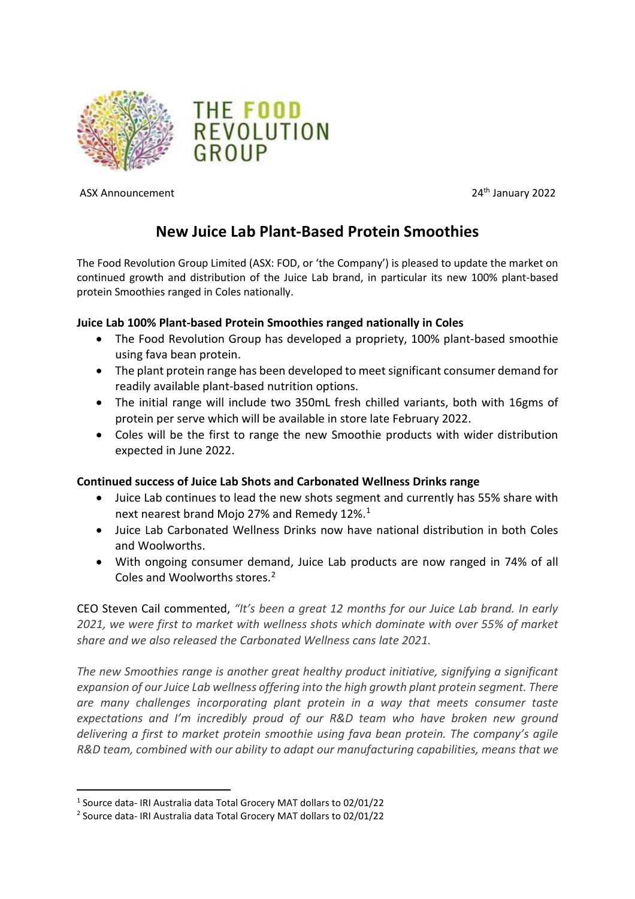



ASX Announcement 2022

# **New Juice Lab Plant-Based Protein Smoothies**

The Food Revolution Group Limited (ASX: FOD, or 'the Company') is pleased to update the market on continued growth and distribution of the Juice Lab brand, in particular its new 100% plant-based protein Smoothies ranged in Coles nationally.

## **Juice Lab 100% Plant-based Protein Smoothies ranged nationally in Coles**

- The Food Revolution Group has developed a propriety, 100% plant-based smoothie using fava bean protein.
- The plant protein range has been developed to meet significant consumer demand for readily available plant-based nutrition options.
- The initial range will include two 350mL fresh chilled variants, both with 16gms of protein per serve which will be available in store late February 2022.
- Coles will be the first to range the new Smoothie products with wider distribution expected in June 2022.

## **Continued success of Juice Lab Shots and Carbonated Wellness Drinks range**

- Juice Lab continues to lead the new shots segment and currently has 55% share with next nearest brand Mojo 27% and Remedy 12%. [1](#page-0-0)
- Juice Lab Carbonated Wellness Drinks now have national distribution in both Coles and Woolworths.
- With ongoing consumer demand, Juice Lab products are now ranged in 74% of all Coles and Woolworths stores. [2](#page-0-1)

CEO Steven Cail commented, *"It's been a great 12 months for our Juice Lab brand. In early 2021, we were first to market with wellness shots which dominate with over 55% of market share and we also released the Carbonated Wellness cans late 2021.* 

*The new Smoothies range is another great healthy product initiative, signifying a significant expansion of our Juice Lab wellness offering into the high growth plant protein segment. There are many challenges incorporating plant protein in a way that meets consumer taste expectations and I'm incredibly proud of our R&D team who have broken new ground delivering a first to market protein smoothie using fava bean protein. The company's agile R&D team, combined with our ability to adapt our manufacturing capabilities, means that we* 

<span id="page-0-0"></span><sup>1</sup> Source data- IRI Australia data Total Grocery MAT dollars to 02/01/22

<span id="page-0-1"></span><sup>2</sup> Source data- IRI Australia data Total Grocery MAT dollars to 02/01/22